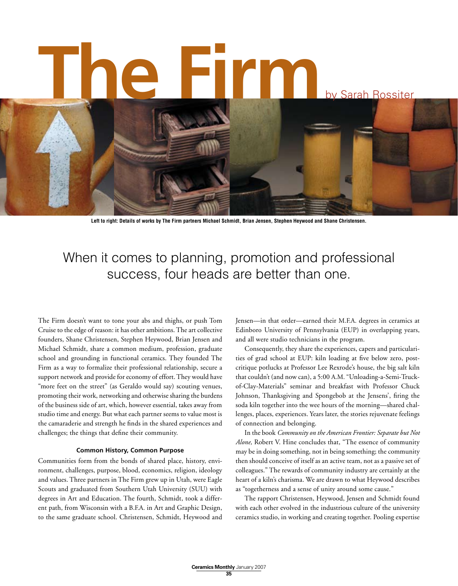

Left to right: Details of works by The Firm partners Michael Schmidt, Brian Jensen, Stephen Heywood and Shane Christensen.

## When it comes to planning, promotion and professional success, four heads are better than one.

The Firm doesn't want to tone your abs and thighs, or push Tom Cruise to the edge of reason: it has other ambitions.The art collective founders, Shane Christensen, Stephen Heywood, Brian Jensen and Michael Schmidt, share a common medium, profession, graduate school and grounding in functional ceramics. They founded The Firm as a way to formalize their professional relationship, secure a support network and provide for economy of effort. They would have "more feet on the street" (as Geraldo would say) scouting venues, promoting their work, networking and otherwise sharing the burdens of the business side of art, which, however essential, takes away from studio time and energy. But what each partner seems to value most is the camaraderie and strength he finds in the shared experiences and challenges; the things that define their community.

#### **Common History, Common Purpose**

Communities form from the bonds of shared place, history, environment, challenges, purpose, blood, economics, religion, ideology and values. Three partners in The Firm grew up in Utah, were Eagle Scouts and graduated from Southern Utah University (SUU) with degrees in Art and Education. The fourth, Schmidt, took a different path, from Wisconsin with a B.F.A. in Art and Graphic Design, to the same graduate school. Christensen, Schmidt, Heywood and Jensen—in that order—earned their M.F.A. degrees in ceramics at Edinboro University of Pennsylvania (EUP) in overlapping years, and all were studio technicians in the program.

Consequently, they share the experiences, capers and particularities of grad school at EUP: kiln loading at five below zero, postcritique potlucks at Professor Lee Rexrode's house, the big salt kiln that couldn't (and now can), a 5:00 A.M. "Unloading-a-Semi-Truckof-Clay-Materials" seminar and breakfast with Professor Chuck Johnson, Thanksgiving and Spongebob at the Jensens', firing the soda kiln together into the wee hours of the morning—shared challenges, places, experiences. Years later, the stories rejuvenate feelings of connection and belonging.

In the book *Community on the American Frontier: Separate but Not Alone,* Robert V. Hine concludes that, "The essence of community may be in doing something, not in being something; the community then should conceive of itself as an active team, not as a passive set of colleagues." The rewards of community industry are certainly at the heart of a kiln's charisma. We are drawn to what Heywood describes as "togetherness and a sense of unity around some cause."

The rapport Christensen, Heywood, Jensen and Schmidt found with each other evolved in the industrious culture of the university ceramics studio, in working and creating together. Pooling expertise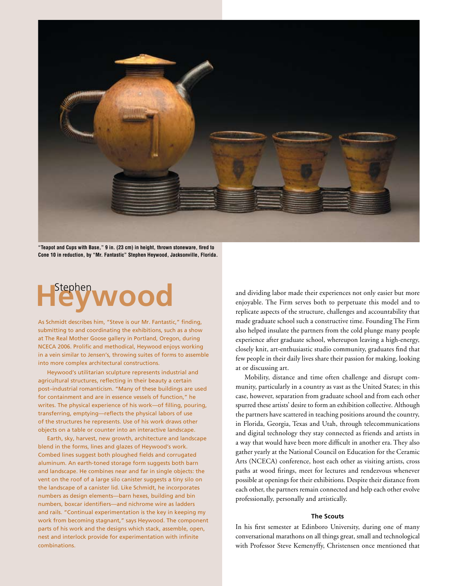

**"Teapot and Cups with Base," 9 in. (23 cm) in height, thrown stoneware, fired to Cone 10 in reduction, by "Mr. Fantastic" Stephen Heywood, Jacksonville, Florida.** 

# Heywood

As Schmidt describes him, "Steve is our Mr. Fantastic," finding, submitting to and coordinating the exhibitions, such as a show at The Real Mother Goose gallery in Portland, Oregon, during NCECA 2006. Prolific and methodical, Heywood enjoys working in a vein similar to Jensen's, throwing suites of forms to assemble into more complex architectural constructions.

Heywood's utilitarian sculpture represents industrial and agricultural structures, reflecting in their beauty a certain post–industrial romanticism. "Many of these buildings are used for containment and are in essence vessels of function," he writes. The physical experience of his work—of filling, pouring, transferring, emptying—reflects the physical labors of use of the structures he represents. Use of his work draws other objects on a table or counter into an interactive landscape.

Earth, sky, harvest, new growth, architecture and landscape blend in the forms, lines and glazes of Heywood's work. Combed lines suggest both ploughed fields and corrugated aluminum. An earth-toned storage form suggests both barn and landscape. He combines near and far in single objects: the vent on the roof of a large silo canister suggests a tiny silo on the landscape of a canister lid. Like Schmidt, he incorporates numbers as design elements—barn hexes, building and bin numbers, boxcar identifiers—and nichrome wire as ladders and rails. "Continual experimentation is the key in keeping my work from becoming stagnant," says Heywood. The component parts of his work and the designs which stack, assemble, open, nest and interlock provide for experimentation with infinite combinations.

and dividing labor made their experiences not only easier but more enjoyable. The Firm serves both to perpetuate this model and to replicate aspects of the structure, challenges and accountability that made graduate school such a constructive time. Founding The Firm also helped insulate the partners from the cold plunge many people experience after graduate school, whereupon leaving a high-energy, closely knit, art-enthusiastic studio community, graduates find that few people in their daily lives share their passion for making, looking at or discussing art.

Mobility, distance and time often challenge and disrupt community, particularly in a country as vast as the United States; in this case, however, separation from graduate school and from each other spurred these artists' desire to form an exhibition collective. Although the partners have scattered in teaching positions around the country, in Florida, Georgia, Texas and Utah, through telecommunications and digital technology they stay connected as friends and artists in a way that would have been more difficult in another era. They also gather yearly at the National Council on Education for the Ceramic Arts (NCECA) conference, host each other as visiting artists, cross paths at wood firings, meet for lectures and rendezvous whenever possible at openings for their exhibitions. Despite their distance from each other, the partners remain connected and help each other evolve professionally, personally and artistically.

#### **The Scouts**

In his first semester at Edinboro University, during one of many conversational marathons on all things great, small and technological with Professor Steve Kemenyffy, Christensen once mentioned that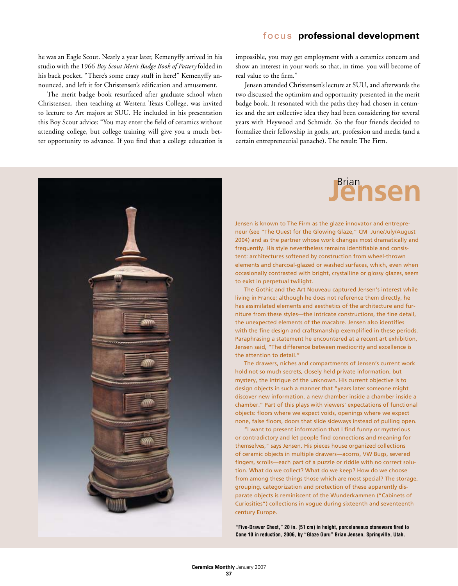#### focus **professional development**

he was an Eagle Scout. Nearly a year later, Kemenyffy arrived in his studio with the 1966 *Boy Scout Merit Badge Book of Pottery* folded in his back pocket. "There's some crazy stuff in here!" Kemenyffy announced, and left it for Christensen's edification and amusement.

The merit badge book resurfaced after graduate school when Christensen, then teaching at Western Texas College, was invited to lecture to Art majors at SUU. He included in his presentation this Boy Scout advice: "You may enter the field of ceramics without attending college, but college training will give you a much better opportunity to advance. If you find that a college education is impossible, you may get employment with a ceramics concern and show an interest in your work so that, in time, you will become of real value to the firm."

Jensen attended Christensen's lecture at SUU, and afterwards the two discussed the optimism and opportunity presented in the merit badge book. It resonated with the paths they had chosen in ceramics and the art collective idea they had been considering for several years with Heywood and Schmidt. So the four friends decided to formalize their fellowship in goals, art, profession and media (and a certain entrepreneurial panache). The result: The Firm.



# **Jensen**

Jensen is known to The Firm as the glaze innovator and entrepreneur (see "The Quest for the Glowing Glaze," CM June/July/August 2004) and as the partner whose work changes most dramatically and frequently. His style nevertheless remains identifiable and consistent: architectures softened by construction from wheel-thrown elements and charcoal-glazed or washed surfaces, which, even when occasionally contrasted with bright, crystalline or glossy glazes, seem to exist in perpetual twilight.

The Gothic and the Art Nouveau captured Jensen's interest while living in France; although he does not reference them directly, he has assimilated elements and aesthetics of the architecture and furniture from these styles—the intricate constructions, the fine detail, the unexpected elements of the macabre. Jensen also identifies with the fine design and craftsmanship exemplified in these periods. Paraphrasing a statement he encountered at a recent art exhibition, Jensen said, "The difference between mediocrity and excellence is the attention to detail."

The drawers, niches and compartments of Jensen's current work hold not so much secrets, closely held private information, but mystery, the intrigue of the unknown. His current objective is to design objects in such a manner that "years later someone might discover new information, a new chamber inside a chamber inside a chamber." Part of this plays with viewers' expectations of functional objects: floors where we expect voids, openings where we expect none, false floors, doors that slide sideways instead of pulling open.

"I want to present information that I find funny or mysterious or contradictory and let people find connections and meaning for themselves," says Jensen. His pieces house organized collections of ceramic objects in multiple drawers—acorns, VW Bugs, severed fingers, scrolls—each part of a puzzle or riddle with no correct solution. What do we collect? What do we keep? How do we choose from among these things those which are most special? The storage, grouping, categorization and protection of these apparently disparate objects is reminiscent of the Wunderkammen ("Cabinets of Curiosities") collections in vogue during sixteenth and seventeenth century Europe.

**"Five-Drawer Chest," 20 in. (51 cm) in height, porcelaneous stoneware fired to Cone 10 in reduction, 2006, by "Glaze Guru" Brian Jensen, Springville, Utah.**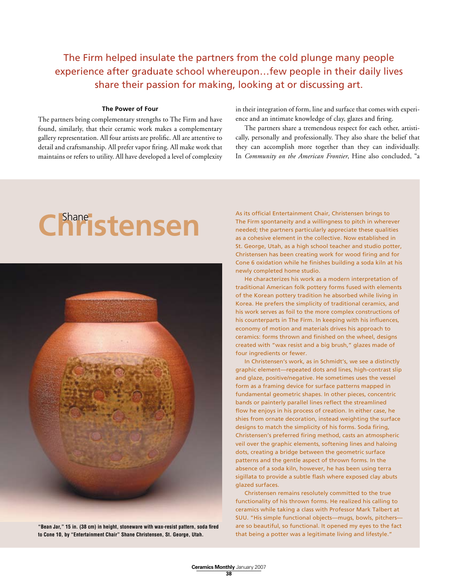### The Firm helped insulate the partners from the cold plunge many people experience after graduate school whereupon…few people in their daily lives share their passion for making, looking at or discussing art.

#### **The Power of Four**

The partners bring complementary strengths to The Firm and have found, similarly, that their ceramic work makes a complementary gallery representation. All four artists are prolific. All are attentive to detail and craftsmanship. All prefer vapor firing. All make work that maintains or refers to utility. All have developed a level of complexity in their integration of form, line and surface that comes with experience and an intimate knowledge of clay, glazes and firing.

The partners share a tremendous respect for each other, artistically, personally and professionally. They also share the belief that they can accomplish more together than they can individually. In *Community on the American Frontier*, Hine also concluded, "a

# **Christensen** Shane



**"Bean Jar," 15 in. (38 cm) in height, stoneware with wax-resist pattern, soda fired to Cone 10, by "Entertainment Chair" Shane Christensen, St. George, Utah.**

As its official Entertainment Chair, Christensen brings to The Firm spontaneity and a willingness to pitch in wherever needed; the partners particularly appreciate these qualities as a cohesive element in the collective. Now established in St. George, Utah, as a high school teacher and studio potter, Christensen has been creating work for wood firing and for Cone 6 oxidation while he finishes building a soda kiln at his newly completed home studio.

He characterizes his work as a modern interpretation of traditional American folk pottery forms fused with elements of the Korean pottery tradition he absorbed while living in Korea. He prefers the simplicity of traditional ceramics, and his work serves as foil to the more complex constructions of his counterparts in The Firm. In keeping with his influences, economy of motion and materials drives his approach to ceramics: forms thrown and finished on the wheel, designs created with "wax resist and a big brush," glazes made of four ingredients or fewer.

In Christensen's work, as in Schmidt's, we see a distinctly graphic element—repeated dots and lines, high-contrast slip and glaze, positive/negative. He sometimes uses the vessel form as a framing device for surface patterns mapped in fundamental geometric shapes. In other pieces, concentric bands or painterly parallel lines reflect the streamlined flow he enjoys in his process of creation. In either case, he shies from ornate decoration, instead weighting the surface designs to match the simplicity of his forms. Soda firing, Christensen's preferred firing method, casts an atmospheric veil over the graphic elements, softening lines and haloing dots, creating a bridge between the geometric surface patterns and the gentle aspect of thrown forms. In the absence of a soda kiln, however, he has been using terra sigillata to provide a subtle flash where exposed clay abuts glazed surfaces.

Christensen remains resolutely committed to the true functionality of his thrown forms. He realized his calling to ceramics while taking a class with Professor Mark Talbert at SUU. "His simple functional objects—mugs, bowls, pitchers are so beautiful, so functional. It opened my eyes to the fact that being a potter was a legitimate living and lifestyle."